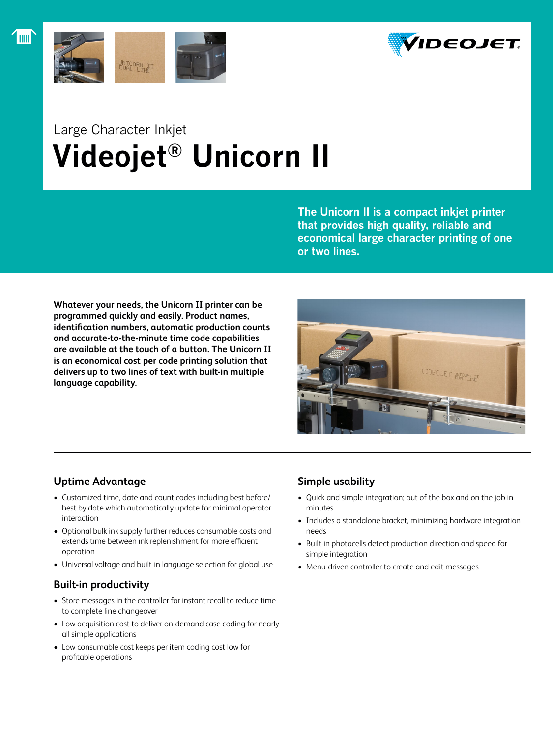



# Large Character Inkjet  **Videojet® Unicorn II**

**The Unicorn II is a compact inkjet printer that provides high quality, reliable and economical large character printing of one or two lines.**

**Whatever your needs, the Unicorn II printer can be programmed quickly and easily. Product names, identification numbers, automatic production counts and accurate-to-the-minute time code capabilities are available at the touch of a button. The Unicorn II is an economical cost per code printing solution that delivers up to two lines of text with built-in multiple language capability.**



# **Uptime Advantage**

- Customized time, date and count codes including best before/ best by date which automatically update for minimal operator interaction
- • Optional bulk ink supply further reduces consumable costs and extends time between ink replenishment for more efficient operation
- Universal voltage and built-in language selection for global use

# **Built-in productivity**

- Store messages in the controller for instant recall to reduce time to complete line changeover
- Low acquisition cost to deliver on-demand case coding for nearly all simple applications
- • Low consumable cost keeps per item coding cost low for profitable operations

# **Simple usability**

- • Quick and simple integration; out of the box and on the job in minutes
- Includes a standalone bracket, minimizing hardware integration needs
- • Built-in photocells detect production direction and speed for simple integration
- • Menu-driven controller to create and edit messages